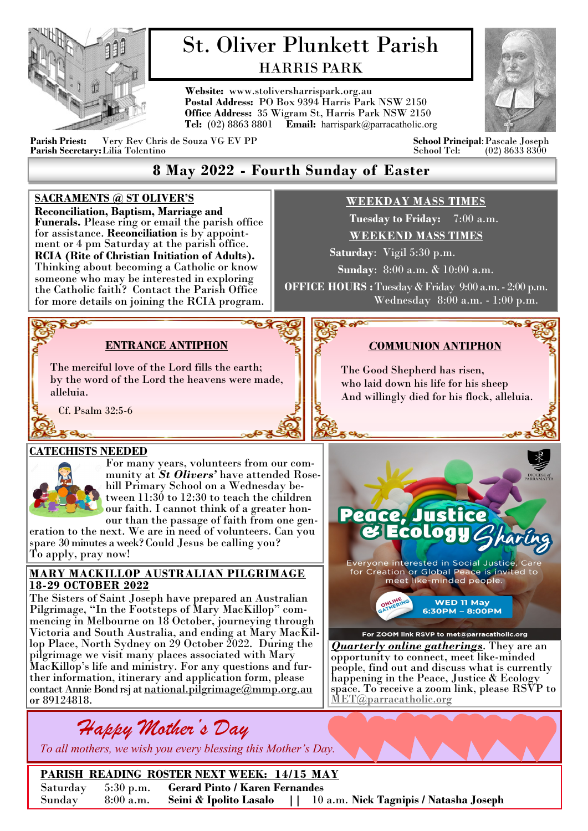

# St. Oliver Plunkett Parish HARRIS PARK

**Website:** www.stoliversharrispark.org.au **Postal Address:** PO Box 9394 Harris Park NSW 2150 **Office Address:** 35 Wigram St, Harris Park NSW 2150 **Tel:** (02) 8863 8801 **Email:** [harrispark@parracatholic.org](mailto:harrispark@parracatholic.org)



**Parish Priest:** Very Rev Chris de Souza VG EV PP **School Principal**:Pascale Joseph Parish Secretary: Lilia Tolentino

# **8 May 2022 - Fourth Sunday of Easter**

### **SACRAMENTS @ ST OLIVER'S**

**Reconciliation, Baptism, Marriage and Funerals.** Please ring or email the parish office for assistance. **Reconciliation** is by appointment or 4 pm Saturday at the parish office. **RCIA (Rite of Christian Initiation of Adults).**  Thinking about becoming a Catholic or know someone who may be interested in exploring the Catholic faith? Contact the Parish Office for more details on joining the RCIA program.

# **WEEKDAY MASS TIMES**

 **Tuesday to Friday:** 7:00 a.m. **WEEKEND MASS TIMES**

 **Saturday**: Vigil 5:30 p.m.

**Sunday**: 8:00 a.m. & 10:00 a.m.

**OFFICE HOURS :** Tuesday & Friday 9:00 a.m. - 2:00 p.m. Wednesday 8:00 a.m. - 1:00 p.m.

> The Good Shepherd has risen, who laid down his life for his sheep And willingly died for his flock, alleluia.

*C***OMMUNION ANTIPHON**

# **ENTRANCE ANTIPHON**

The merciful love of the Lord fills the earth; by the word of the Lord the heavens were made, alleluia.

Cf. Psalm 32:5-6

## **CATECHISTS NEEDED**

 $-600$ 



**PROP** 

For many years, volunteers from our community at *St Olivers'* have attended Rosehill Primary School on a Wednesday between  $11:30$  to  $12:30$  to teach the children our faith. I cannot think of a greater honour than the passage of faith from one gen-

eration to the next. We are in need of volunteers. Can you spare 30 minutes a week? Could Jesus be calling you? To apply, pray now!

#### **MARY MACKILLOP AUSTRALIAN PILGRIMAGE 18-29 OCTOBER 2022**

The Sisters of Saint Joseph have prepared an Australian Pilgrimage, "In the Footsteps of Mary MacKillop" commencing in Melbourne on 18 October, journeying through Victoria and South Australia, and ending at Mary MacKillop Place, North Sydney on 29 October 2022. During the pilgrimage we visit many places associated with Mary MacKillop's life and ministry. For any questions and further information, itinerary and application form, please contact Annie Bond rsj at national.[pilgrimage@mmp.org.au](mailto:pilgrimage@mmp.org.au) or 89124818.



 *To all mothers, we wish you every blessing this Mother's Day.*

Peace, Justice **Ecology** Everyone interested in Social Justice, C For Greation or Global Peace is invited to<br>for Creation or Global Peace is invited to<br>meet like-minded people. **WED 11 May** 6:30РМ - 8:00РМ For ZOOM link RSVP to met@parracatholic.org

*Quarterly online gatherings*. They are an opportunity to connect, meet like-minded people, find out and discuss what is currently happening in the Peace, Justice & Ecology space. To receive a zoom link, please RSVP to <MET@parracatholic.org>

**PARISH READING ROSTER NEXT WEEK: 14/15 MAY** Saturday 5:30 p.m. **Gerard Pinto / Karen Fernandes** Sunday 8:00 a.m. **Seini & Ipolito Lasalo ||** 10 a.m. **Nick Tagnipis / Natasha Joseph**